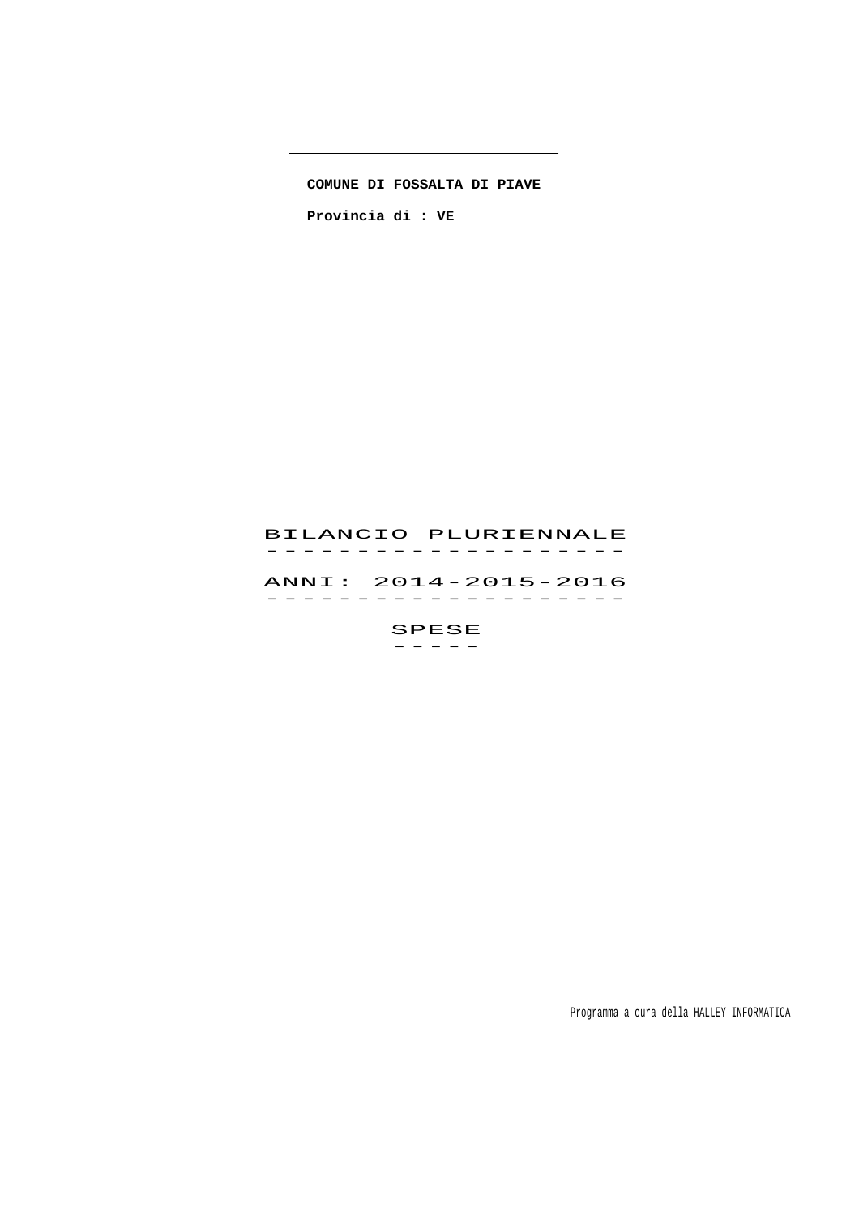# **COMUNE DI FOSSALTA DI PIAVE**

 **Provincia di : VE** 

# BILANCIO PLURIENNALE -------------------<br>BILANCIO PLURIENNALE ANNI: 2014-2015-2016 ANNI: 2014–2015–2016<br>------------------

 SPESE  $-$ 

Programma a cura della HALLEY INFORMATICA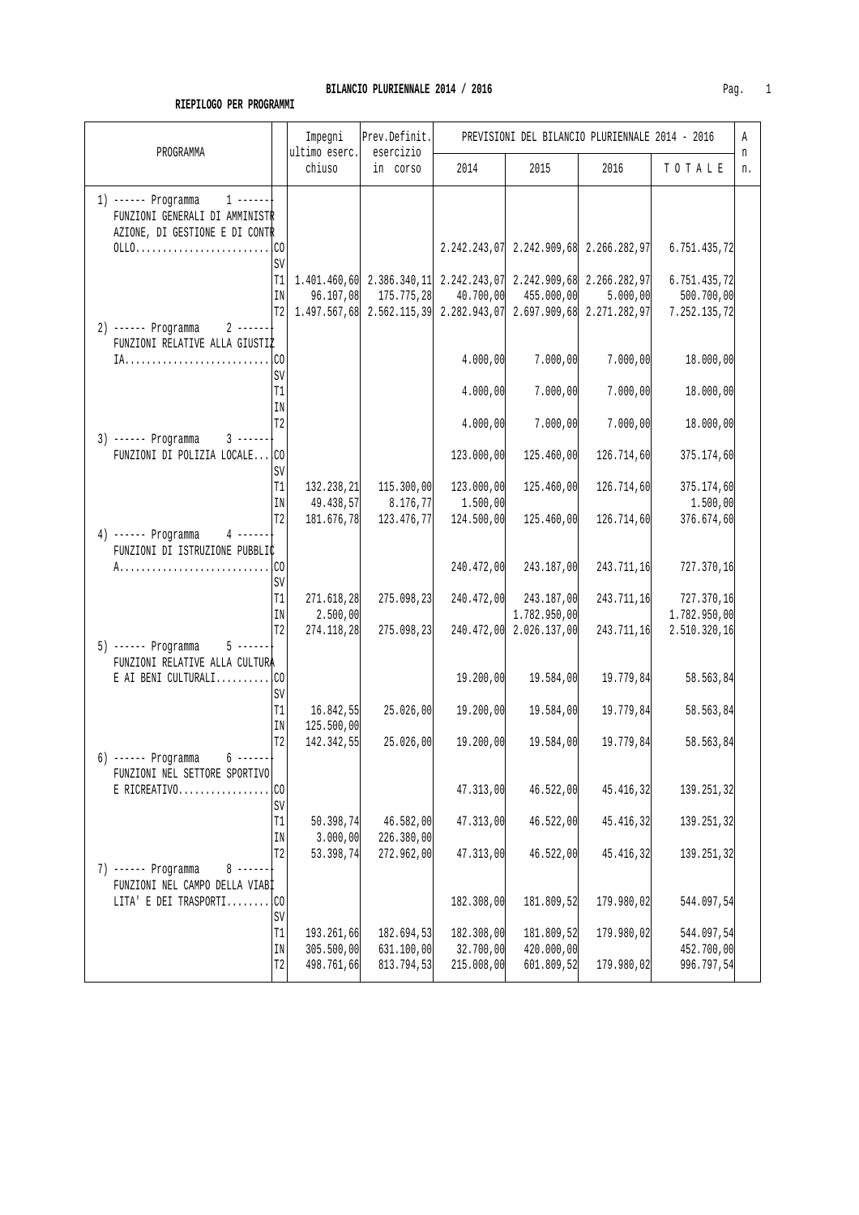# **BILANCIO PLURIENNALE 2014 / 2016 Pag.** 1

#### **RIEPILOGO PER PROGRAMMI**

| PROGRAMMA                                                                                          |                                       | Impegni<br>ultimo eserc.<br>chiuso     | Prev.Definit.<br>esercizio<br>in corso                                                                                                                                                               | PREVISIONI DEL BILANCIO PLURIENNALE 2014 - 2016 |                                                         |                          |                                            | Α       |
|----------------------------------------------------------------------------------------------------|---------------------------------------|----------------------------------------|------------------------------------------------------------------------------------------------------------------------------------------------------------------------------------------------------|-------------------------------------------------|---------------------------------------------------------|--------------------------|--------------------------------------------|---------|
|                                                                                                    |                                       |                                        |                                                                                                                                                                                                      | 2014                                            | 2015                                                    | 2016                     | TOTALE                                     | n<br>n. |
| 1) ------ Programma $1$ ------<br>FUNZIONI GENERALI DI AMMINISTR<br>AZIONE, DI GESTIONE E DI CONTR |                                       |                                        |                                                                                                                                                                                                      |                                                 | $2.242.243.07 \mid 2.242.909.68 \mid 2.266.282.97 \mid$ |                          | 6.751.435,72                               |         |
|                                                                                                    | SV<br>T1<br>$\rm{IN}$                 | 96.107,08                              | $\mid$ 1.401.460,60 2.386.340,11 2.242.243,07 2.242.909,68 2.266.282,97<br>175.775,28<br>$T2 \begin{bmatrix} 1.497.567,68 & 2.562.115,39 & 2.282.943,07 & 2.697.909,68 & 2.271.282,97 \end{bmatrix}$ |                                                 | $40.700,00$ $455.000,00$                                | 5.000,00                 | 6.751.435,72<br>500.700,00<br>7.252.135,72 |         |
| 2) ------ Programma 2 ------<br>FUNZIONI RELATIVE ALLA GIUSTIZ                                     |                                       |                                        |                                                                                                                                                                                                      | 4.000,00                                        | 7.000,00                                                | 7.000,00                 | 18.000,00                                  |         |
|                                                                                                    | SV<br>T1                              |                                        |                                                                                                                                                                                                      | 4.000,00                                        | 7.000,00                                                | 7.000,00                 | 18.000,00                                  |         |
| $3)$ ------ Programma $3$ ------                                                                   | IN<br>T <sub>2</sub>                  |                                        |                                                                                                                                                                                                      | 4.000,00                                        | 7.000,00                                                | 7.000,00                 | 18.000,00                                  |         |
| FUNZIONI DI POLIZIA LOCALE CO                                                                      | SV                                    |                                        |                                                                                                                                                                                                      | 123.000,00                                      | 125.460,00                                              | 126.714,60               | 375.174,60                                 |         |
|                                                                                                    | $\mathtt{T1}$<br>IN<br>T <sub>2</sub> | 132.238,21<br>49.438,57<br>181.676,78  | 115.300,00<br>8.176, 77<br>123.476,77                                                                                                                                                                | 123.000,00<br>1.500,00<br>124.500,00            | 125.460,00<br>125.460,00                                | 126.714,60<br>126.714,60 | 375.174,60<br>1.500,00<br>376.674,60       |         |
| $4$ ------<br>4) ------ Programma<br>FUNZIONI DI ISTRUZIONE PUBBLIC                                |                                       |                                        |                                                                                                                                                                                                      |                                                 |                                                         |                          |                                            |         |
|                                                                                                    | SV<br>T1                              |                                        |                                                                                                                                                                                                      | 240.472,00                                      | 243.187,00                                              | 243.711,16               | 727.370,16                                 |         |
|                                                                                                    | IN<br>T <sub>2</sub>                  | 271.618,28<br>2.500,00<br>274.118,28   | 275.098,23<br>275.098, 23                                                                                                                                                                            | 240.472,00                                      | 243.187,00<br>1.782.950,00<br>240.472,00 2.026.137,00   | 243.711,16<br>243.711,16 | 727.370,16<br>1.782.950,00<br>2.510.320,16 |         |
| $5$ ------<br>5) ------ Programma<br>FUNZIONI RELATIVE ALLA CULTURA                                |                                       |                                        |                                                                                                                                                                                                      |                                                 |                                                         |                          |                                            |         |
| E AI BENI CULTURALI $CO$                                                                           | SV<br>T1                              | 16.842,55                              | 25.026,00                                                                                                                                                                                            | 19.200,00<br>19.200,00                          | 19.584,00<br>19.584,00                                  | 19.779,84<br>19.779,84   | 58.563,84<br>58.563,84                     |         |
|                                                                                                    | IN<br>T <sub>2</sub>                  | 125.500,00<br>142.342,55               | 25.026,00                                                                                                                                                                                            | 19.200,00                                       | 19.584,00                                               | 19.779,84                | 58.563,84                                  |         |
| $6$ ------+<br>6) ------ Programma<br>FUNZIONI NEL SETTORE SPORTIVO                                |                                       |                                        |                                                                                                                                                                                                      |                                                 |                                                         |                          |                                            |         |
| $E$ RICREATIVO                                                                                     | .CO<br>SV                             |                                        |                                                                                                                                                                                                      | 47.313,00                                       | 46.522,00                                               | 45.416,32                | 139.251,32                                 |         |
|                                                                                                    | T1<br>IN<br>T <sub>2</sub>            | 50.398,74<br>3.000,00<br>53.398,74     | 46.582,00<br>226.380,00<br>272.962,00                                                                                                                                                                | 47.313,00<br>47.313,00                          | 46.522,00<br>46.522,00                                  | 45.416,32<br>45.416,32   | 139.251,32<br>139.251,32                   |         |
| 7) ------ Programma<br>$8 - - - - - -$<br>FUNZIONI NEL CAMPO DELLA VIABI                           |                                       |                                        |                                                                                                                                                                                                      |                                                 |                                                         |                          |                                            |         |
| LITA' E DEI TRASPORTICO                                                                            | SV                                    |                                        |                                                                                                                                                                                                      | 182.308,00                                      | 181.809,52                                              | 179.980,02               | 544.097,54                                 |         |
|                                                                                                    | T1<br>IN<br>T <sub>2</sub>            | 193.261,66<br>305.500,00<br>498.761,66 | 182.694,53<br>631.100,00<br>813.794,53                                                                                                                                                               | 182.308,00<br>32.700,00<br>215.008,00           | 181.809,52<br>420.000,00<br>601.809,52                  | 179.980,02<br>179.980,02 | 544.097,54<br>452.700,00<br>996.797,54     |         |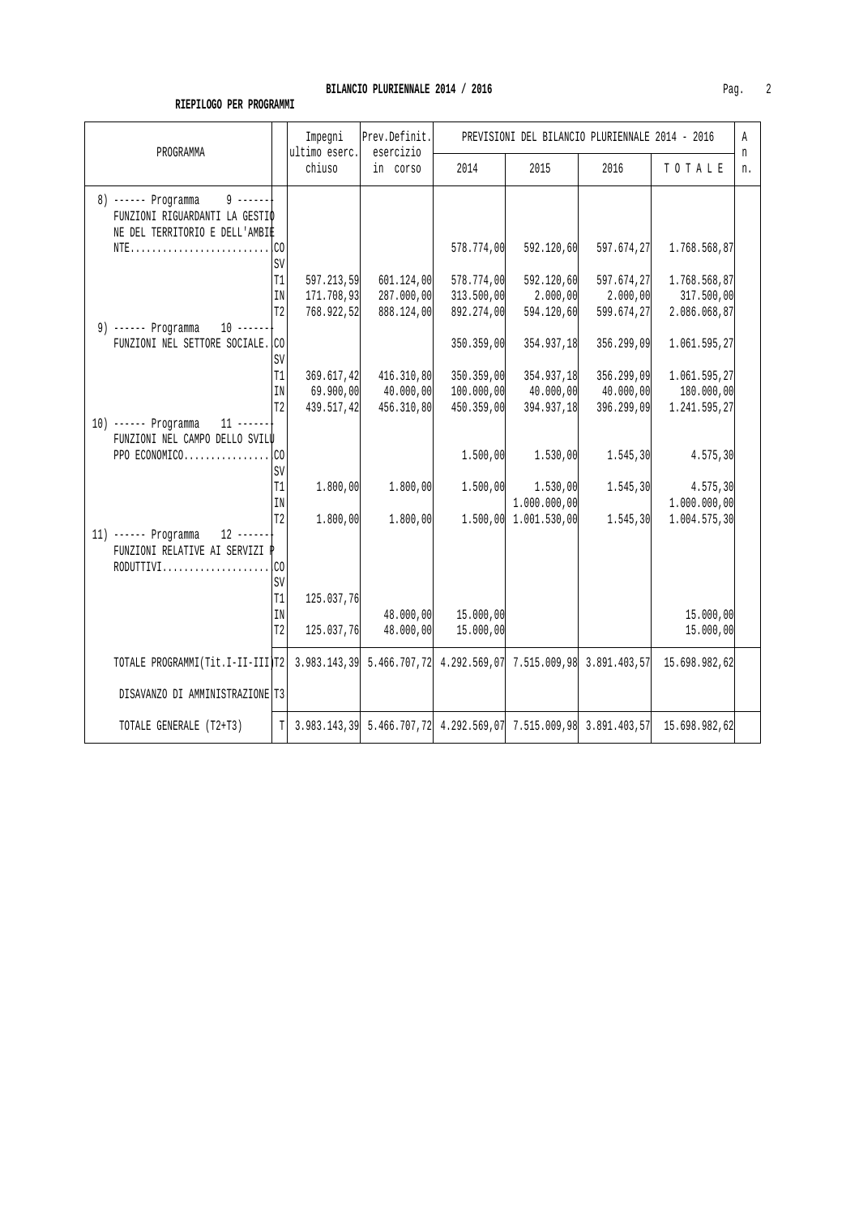# **BILANCIO PLURIENNALE 2014 / 2016** Pag. 2

# **RIEPILOGO PER PROGRAMMI**

|                                                                                                                 |                | Impegni                 | Prev.Definit.         | PREVISIONI DEL BILANCIO PLURIENNALE 2014 - 2016 |                           |            |                                                                                    | A       |
|-----------------------------------------------------------------------------------------------------------------|----------------|-------------------------|-----------------------|-------------------------------------------------|---------------------------|------------|------------------------------------------------------------------------------------|---------|
| PROGRAMMA                                                                                                       |                | ultimo eserc.<br>chiuso | esercizio<br>in corso | 2014                                            | 2015                      | 2016       | TOTALE                                                                             | n<br>n. |
| $9 - - - - - -$<br>8) ------ Programma                                                                          |                |                         |                       |                                                 |                           |            |                                                                                    |         |
| FUNZIONI RIGUARDANTI LA GESTIO<br>NE DEL TERRITORIO E DELL'AMBIÈ                                                |                |                         |                       |                                                 |                           |            |                                                                                    |         |
|                                                                                                                 |                |                         |                       | 578.774,00                                      | 592.120,60                | 597.674,27 | 1.768.568,87                                                                       |         |
|                                                                                                                 | <b>SV</b>      |                         |                       |                                                 |                           |            |                                                                                    |         |
|                                                                                                                 | T1             | 597.213,59              | 601.124,00            | 578.774,00                                      | 592.120,60                | 597.674,27 | 1.768.568,87                                                                       |         |
|                                                                                                                 | IN             | 171.708,93              | 287.000,00            | 313.500,00                                      | 2.000,00                  | 2.000,00   | 317.500,00                                                                         |         |
|                                                                                                                 | T <sub>2</sub> | 768.922,52              | 888.124,00            | 892.274,00                                      | 594.120,60                | 599.674,27 | 2.086.068,87                                                                       |         |
| 9) ------ Programma $10$ ------                                                                                 |                |                         |                       |                                                 |                           |            |                                                                                    |         |
| FUNZIONI NEL SETTORE SOCIALE. CO                                                                                |                |                         |                       | 350.359,00                                      | 354.937,18                | 356.299,09 | 1.061.595,27                                                                       |         |
|                                                                                                                 | SV<br>T1       | 369.617,42              | 416.310,80            | 350.359,00                                      | 354.937,18                | 356.299,09 |                                                                                    |         |
|                                                                                                                 | IN             | 69.900,00               | 40.000,00             | 100.000,00                                      | 40.000,00                 | 40.000,00  | 1.061.595,27<br>180.000,00                                                         |         |
|                                                                                                                 | T <sub>2</sub> | 439.517,42              | 456.310,80            | 450.359,00                                      | 394.937,18                | 396.299,09 | 1.241.595,27                                                                       |         |
| 10) ------ Programma 11 ------                                                                                  |                |                         |                       |                                                 |                           |            |                                                                                    |         |
| FUNZIONI NEL CAMPO DELLO SVILU                                                                                  |                |                         |                       |                                                 |                           |            |                                                                                    |         |
|                                                                                                                 |                |                         |                       | 1.500,00                                        | 1.530,00                  | 1.545,30   | 4.575, 30                                                                          |         |
|                                                                                                                 | SV             |                         |                       |                                                 |                           |            |                                                                                    |         |
|                                                                                                                 | T1             | 1.800,00                | 1.800, 00             |                                                 | $1.500,00$ $1.530,00$     | 1.545, 30  | 4.575, 30                                                                          |         |
|                                                                                                                 | IN             |                         |                       |                                                 | 1.000.000,00              |            | 1.000.000,00                                                                       |         |
|                                                                                                                 | T <sub>2</sub> | 1.800,00                | 1.800,00              |                                                 | $1.500,00$ $1.001.530,00$ |            | $1.545, 30$ $1.004.575, 30$                                                        |         |
| 11) ------ Programma 12 ------<br>FUNZIONI RELATIVE AI SERVIZI P                                                |                |                         |                       |                                                 |                           |            |                                                                                    |         |
|                                                                                                                 |                |                         |                       |                                                 |                           |            |                                                                                    |         |
|                                                                                                                 | SV             |                         |                       |                                                 |                           |            |                                                                                    |         |
|                                                                                                                 | T1             | 125.037,76              |                       |                                                 |                           |            |                                                                                    |         |
|                                                                                                                 | IN             |                         | 48.000,00             | 15.000,00                                       |                           |            | 15.000,00                                                                          |         |
|                                                                                                                 | T <sub>2</sub> | 125.037,76              | 48.000,00             | 15.000,00                                       |                           |            | 15.000,00                                                                          |         |
| TOTALE PROGRAMMI(Tit.I-II-III)T2 3.983.143,39 5.466.707,72 4.292.569,07 7.515.009,98 3.891.403,57 15.698.982,62 |                |                         |                       |                                                 |                           |            |                                                                                    |         |
| DISAVANZO DI AMMINISTRAZIONE T3                                                                                 |                |                         |                       |                                                 |                           |            |                                                                                    |         |
| TOTALE GENERALE (T2+T3)                                                                                         |                |                         |                       |                                                 |                           |            | $T$ 3.983.143,39 5.466.707,72 4.292.569,07 7.515.009,98 3.891.403,57 15.698.982,62 |         |